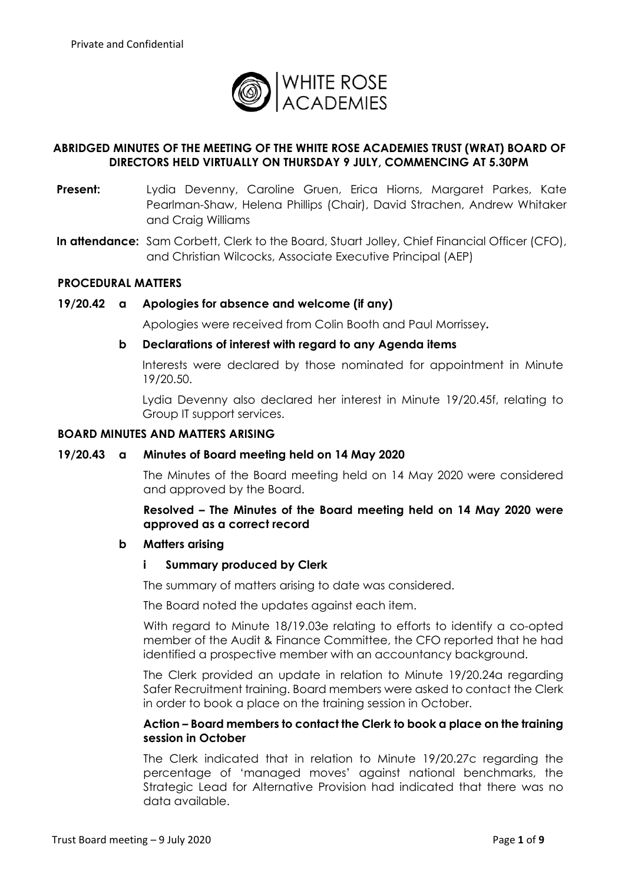

# **ABRIDGED MINUTES OF THE MEETING OF THE WHITE ROSE ACADEMIES TRUST (WRAT) BOARD OF DIRECTORS HELD VIRTUALLY ON THURSDAY 9 JULY, COMMENCING AT 5.30PM**

- **Present:** Lydia Devenny, Caroline Gruen, Erica Hiorns, Margaret Parkes, Kate Pearlman-Shaw, Helena Phillips (Chair), David Strachen, Andrew Whitaker and Craig Williams
- **In attendance:** Sam Corbett, Clerk to the Board, Stuart Jolley, Chief Financial Officer (CFO), and Christian Wilcocks, Associate Executive Principal (AEP)

### **PROCEDURAL MATTERS**

#### **19/20.42 a Apologies for absence and welcome (if any)**

Apologies were received from Colin Booth and Paul Morrissey**.**

### **b Declarations of interest with regard to any Agenda items**

Interests were declared by those nominated for appointment in Minute 19/20.50.

Lydia Devenny also declared her interest in Minute 19/20.45f, relating to Group IT support services.

### **BOARD MINUTES AND MATTERS ARISING**

#### **19/20.43 a Minutes of Board meeting held on 14 May 2020**

The Minutes of the Board meeting held on 14 May 2020 were considered and approved by the Board.

**Resolved – The Minutes of the Board meeting held on 14 May 2020 were approved as a correct record**

#### **b Matters arising**

#### **i Summary produced by Clerk**

The summary of matters arising to date was considered.

The Board noted the updates against each item.

With regard to Minute 18/19.03e relating to efforts to identify a co-opted member of the Audit & Finance Committee, the CFO reported that he had identified a prospective member with an accountancy background.

The Clerk provided an update in relation to Minute 19/20.24a regarding Safer Recruitment training. Board members were asked to contact the Clerk in order to book a place on the training session in October.

### **Action – Board members to contact the Clerk to book a place on the training session in October**

The Clerk indicated that in relation to Minute 19/20.27c regarding the percentage of 'managed moves' against national benchmarks, the Strategic Lead for Alternative Provision had indicated that there was no data available.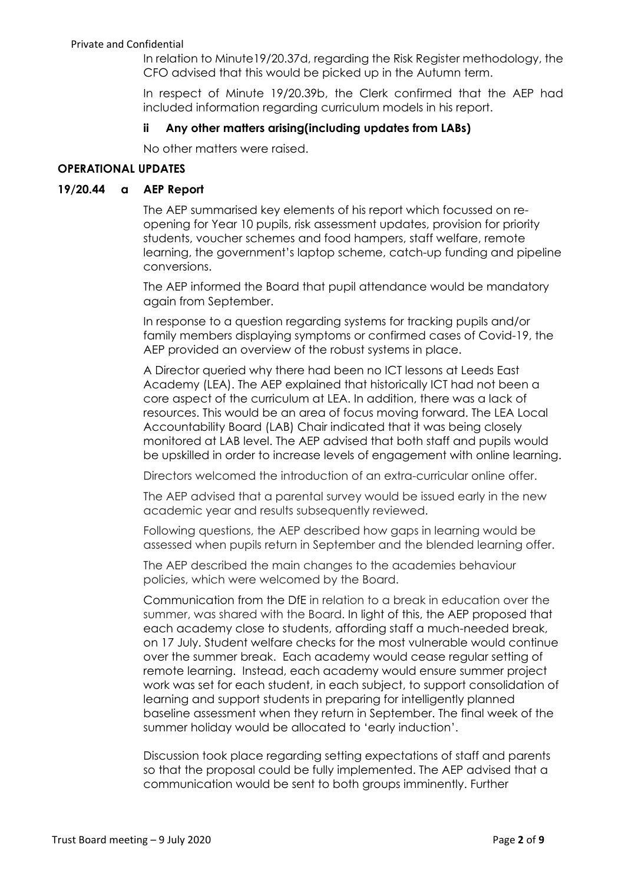In relation to Minute19/20.37d, regarding the Risk Register methodology, the CFO advised that this would be picked up in the Autumn term.

In respect of Minute 19/20.39b, the Clerk confirmed that the AEP had included information regarding curriculum models in his report.

## **ii Any other matters arising(including updates from LABs)**

No other matters were raised.

# **OPERATIONAL UPDATES**

## **19/20.44 a AEP Report**

The AEP summarised key elements of his report which focussed on reopening for Year 10 pupils, risk assessment updates, provision for priority students, voucher schemes and food hampers, staff welfare, remote learning, the government's laptop scheme, catch-up funding and pipeline conversions.

The AEP informed the Board that pupil attendance would be mandatory again from September.

In response to a question regarding systems for tracking pupils and/or family members displaying symptoms or confirmed cases of Covid-19, the AEP provided an overview of the robust systems in place.

A Director queried why there had been no ICT lessons at Leeds East Academy (LEA). The AEP explained that historically ICT had not been a core aspect of the curriculum at LEA. In addition, there was a lack of resources. This would be an area of focus moving forward. The LEA Local Accountability Board (LAB) Chair indicated that it was being closely monitored at LAB level. The AEP advised that both staff and pupils would be upskilled in order to increase levels of engagement with online learning.

Directors welcomed the introduction of an extra-curricular online offer.

The AEP advised that a parental survey would be issued early in the new academic year and results subsequently reviewed.

Following questions, the AEP described how gaps in learning would be assessed when pupils return in September and the blended learning offer.

The AEP described the main changes to the academies behaviour policies, which were welcomed by the Board.

Communication from the DfE in relation to a break in education over the summer, was shared with the Board. In light of this, the AEP proposed that each academy close to students, affording staff a much-needed break, on 17 July. Student welfare checks for the most vulnerable would continue over the summer break. Each academy would cease regular setting of remote learning. Instead, each academy would ensure summer project work was set for each student, in each subject, to support consolidation of learning and support students in preparing for intelligently planned baseline assessment when they return in September. The final week of the summer holiday would be allocated to 'early induction'.

Discussion took place regarding setting expectations of staff and parents so that the proposal could be fully implemented. The AEP advised that a communication would be sent to both groups imminently. Further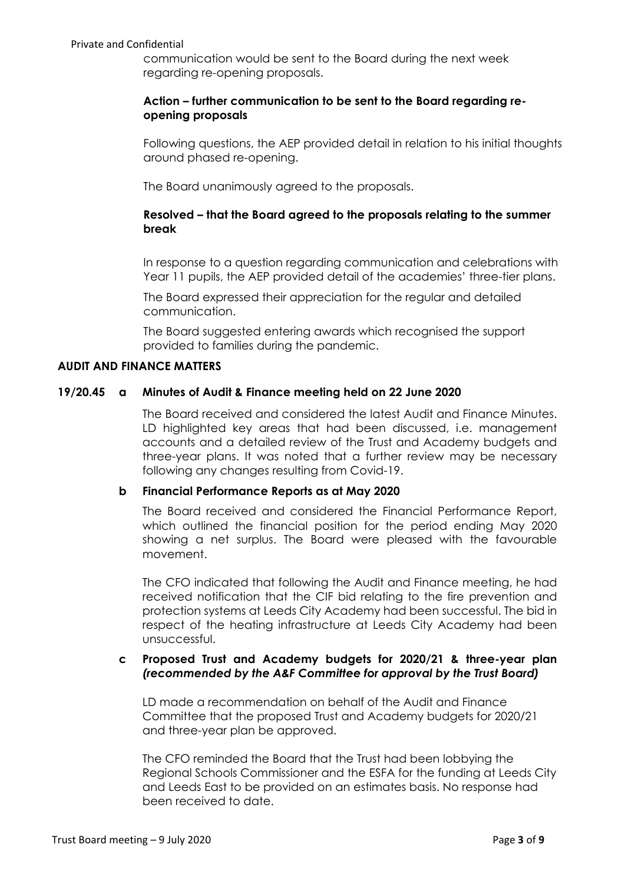communication would be sent to the Board during the next week regarding re-opening proposals.

## **Action – further communication to be sent to the Board regarding reopening proposals**

Following questions, the AEP provided detail in relation to his initial thoughts around phased re-opening.

The Board unanimously agreed to the proposals.

# **Resolved – that the Board agreed to the proposals relating to the summer break**

In response to a question regarding communication and celebrations with Year 11 pupils, the AEP provided detail of the academies' three-tier plans.

The Board expressed their appreciation for the regular and detailed communication.

The Board suggested entering awards which recognised the support provided to families during the pandemic.

## **AUDIT AND FINANCE MATTERS**

## **19/20.45 a Minutes of Audit & Finance meeting held on 22 June 2020**

The Board received and considered the latest Audit and Finance Minutes. LD highlighted key areas that had been discussed, i.e. management accounts and a detailed review of the Trust and Academy budgets and three-year plans. It was noted that a further review may be necessary following any changes resulting from Covid-19.

## **b Financial Performance Reports as at May 2020**

The Board received and considered the Financial Performance Report, which outlined the financial position for the period ending May 2020 showing a net surplus. The Board were pleased with the favourable movement.

The CFO indicated that following the Audit and Finance meeting, he had received notification that the CIF bid relating to the fire prevention and protection systems at Leeds City Academy had been successful. The bid in respect of the heating infrastructure at Leeds City Academy had been unsuccessful.

## **c Proposed Trust and Academy budgets for 2020/21 & three-year plan**  *(recommended by the A&F Committee for approval by the Trust Board)*

LD made a recommendation on behalf of the Audit and Finance Committee that the proposed Trust and Academy budgets for 2020/21 and three-year plan be approved.

The CFO reminded the Board that the Trust had been lobbying the Regional Schools Commissioner and the ESFA for the funding at Leeds City and Leeds East to be provided on an estimates basis. No response had been received to date.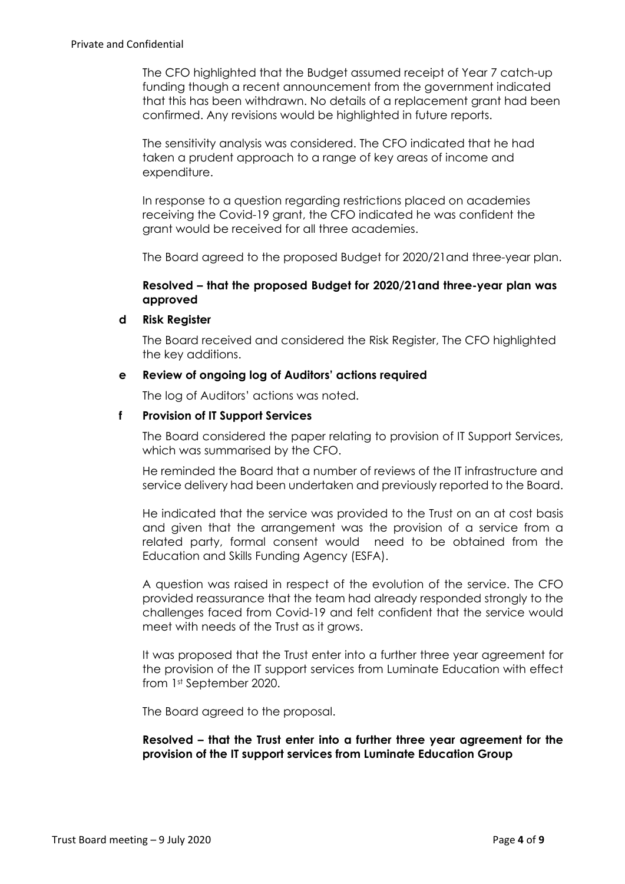The CFO highlighted that the Budget assumed receipt of Year 7 catch-up funding though a recent announcement from the government indicated that this has been withdrawn. No details of a replacement grant had been confirmed. Any revisions would be highlighted in future reports.

The sensitivity analysis was considered. The CFO indicated that he had taken a prudent approach to a range of key areas of income and expenditure.

In response to a question regarding restrictions placed on academies receiving the Covid-19 grant, the CFO indicated he was confident the grant would be received for all three academies.

The Board agreed to the proposed Budget for 2020/21and three-year plan.

# **Resolved – that the proposed Budget for 2020/21and three-year plan was approved**

### **d Risk Register**

The Board received and considered the Risk Register, The CFO highlighted the key additions.

### **e Review of ongoing log of Auditors' actions required**

The log of Auditors' actions was noted.

### **f Provision of IT Support Services**

The Board considered the paper relating to provision of IT Support Services, which was summarised by the CFO.

He reminded the Board that a number of reviews of the IT infrastructure and service delivery had been undertaken and previously reported to the Board.

He indicated that the service was provided to the Trust on an at cost basis and given that the arrangement was the provision of a service from a related party, formal consent would need to be obtained from the Education and Skills Funding Agency (ESFA).

A question was raised in respect of the evolution of the service. The CFO provided reassurance that the team had already responded strongly to the challenges faced from Covid-19 and felt confident that the service would meet with needs of the Trust as it grows.

It was proposed that the Trust enter into a further three year agreement for the provision of the IT support services from Luminate Education with effect from 1st September 2020.

The Board agreed to the proposal.

**Resolved – that the Trust enter into a further three year agreement for the provision of the IT support services from Luminate Education Group**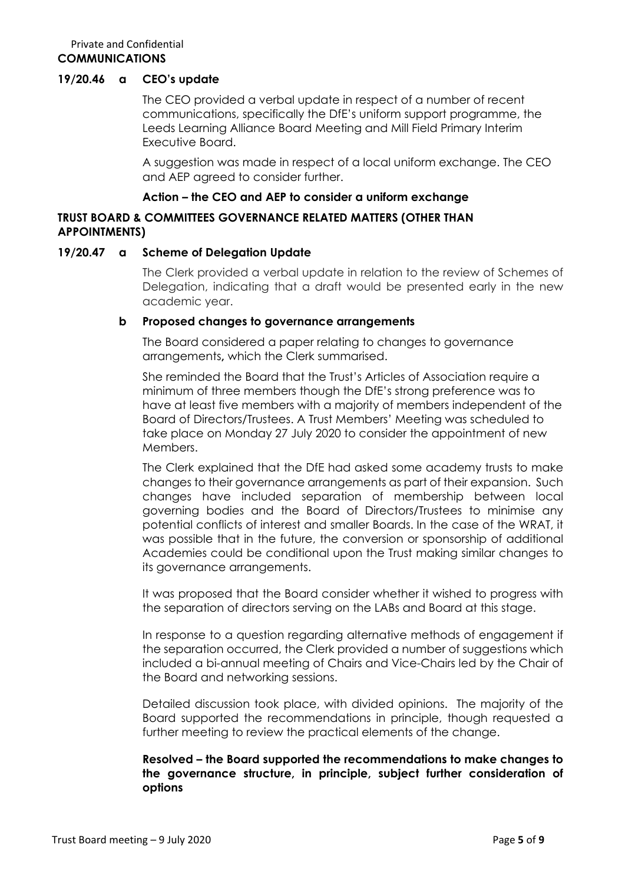### **19/20.46 a CEO's update**

The CEO provided a verbal update in respect of a number of recent communications, specifically the DfE's uniform support programme, the Leeds Learning Alliance Board Meeting and Mill Field Primary Interim Executive Board.

A suggestion was made in respect of a local uniform exchange. The CEO and AEP agreed to consider further.

### **Action – the CEO and AEP to consider a uniform exchange**

## **TRUST BOARD & COMMITTEES GOVERNANCE RELATED MATTERS (OTHER THAN APPOINTMENTS)**

## **19/20.47 a Scheme of Delegation Update**

The Clerk provided a verbal update in relation to the review of Schemes of Delegation, indicating that a draft would be presented early in the new academic year.

### **b Proposed changes to governance arrangements**

The Board considered a paper relating to changes to governance arrangements**,** which the Clerk summarised.

She reminded the Board that the Trust's Articles of Association require a minimum of three members though the DfE's strong preference was to have at least five members with a majority of members independent of the Board of Directors/Trustees. A Trust Members' Meeting was scheduled to take place on Monday 27 July 2020 to consider the appointment of new Members.

The Clerk explained that the DfE had asked some academy trusts to make changes to their governance arrangements as part of their expansion. Such changes have included separation of membership between local governing bodies and the Board of Directors/Trustees to minimise any potential conflicts of interest and smaller Boards. In the case of the WRAT, it was possible that in the future, the conversion or sponsorship of additional Academies could be conditional upon the Trust making similar changes to its governance arrangements.

It was proposed that the Board consider whether it wished to progress with the separation of directors serving on the LABs and Board at this stage.

In response to a question regarding alternative methods of engagement if the separation occurred, the Clerk provided a number of suggestions which included a bi-annual meeting of Chairs and Vice-Chairs led by the Chair of the Board and networking sessions.

Detailed discussion took place, with divided opinions. The majority of the Board supported the recommendations in principle, though requested a further meeting to review the practical elements of the change.

## **Resolved – the Board supported the recommendations to make changes to the governance structure, in principle, subject further consideration of options**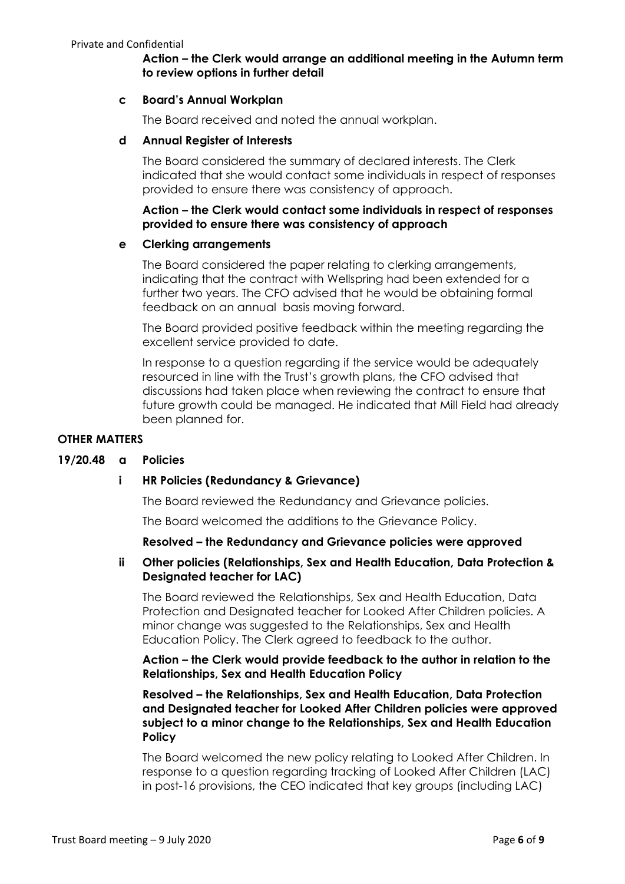# **Action – the Clerk would arrange an additional meeting in the Autumn term to review options in further detail**

### **c Board's Annual Workplan**

The Board received and noted the annual workplan.

### **d Annual Register of Interests**

The Board considered the summary of declared interests. The Clerk indicated that she would contact some individuals in respect of responses provided to ensure there was consistency of approach.

## **Action – the Clerk would contact some individuals in respect of responses provided to ensure there was consistency of approach**

### **e Clerking arrangements**

The Board considered the paper relating to clerking arrangements, indicating that the contract with Wellspring had been extended for a further two years. The CFO advised that he would be obtaining formal feedback on an annual basis moving forward.

The Board provided positive feedback within the meeting regarding the excellent service provided to date.

In response to a question regarding if the service would be adequately resourced in line with the Trust's growth plans, the CFO advised that discussions had taken place when reviewing the contract to ensure that future growth could be managed. He indicated that Mill Field had already been planned for.

### **OTHER MATTERS**

## **19/20.48 a Policies**

## **i HR Policies (Redundancy & Grievance)**

The Board reviewed the Redundancy and Grievance policies.

The Board welcomed the additions to the Grievance Policy.

## **Resolved – the Redundancy and Grievance policies were approved**

## **ii Other policies (Relationships, Sex and Health Education, Data Protection & Designated teacher for LAC)**

The Board reviewed the Relationships, Sex and Health Education, Data Protection and Designated teacher for Looked After Children policies. A minor change was suggested to the Relationships, Sex and Health Education Policy. The Clerk agreed to feedback to the author.

**Action – the Clerk would provide feedback to the author in relation to the Relationships, Sex and Health Education Policy**

## **Resolved – the Relationships, Sex and Health Education, Data Protection and Designated teacher for Looked After Children policies were approved subject to a minor change to the Relationships, Sex and Health Education Policy**

The Board welcomed the new policy relating to Looked After Children. In response to a question regarding tracking of Looked After Children (LAC) in post-16 provisions, the CEO indicated that key groups (including LAC)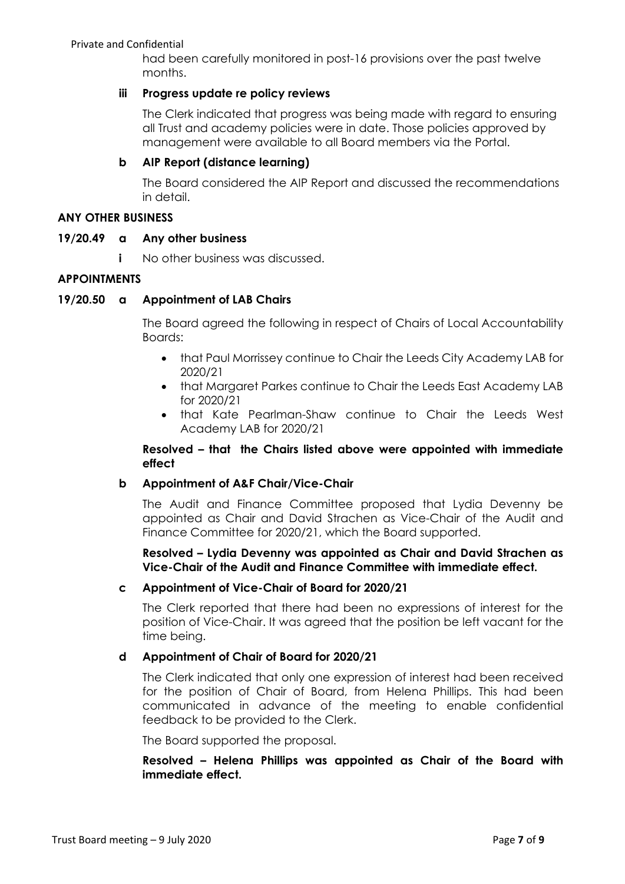had been carefully monitored in post-16 provisions over the past twelve months.

# **iii Progress update re policy reviews**

The Clerk indicated that progress was being made with regard to ensuring all Trust and academy policies were in date. Those policies approved by management were available to all Board members via the Portal.

# **b AIP Report (distance learning)**

The Board considered the AIP Report and discussed the recommendations in detail.

### **ANY OTHER BUSINESS**

## **19/20.49 a Any other business**

**i** No other business was discussed.

## **APPOINTMENTS**

## **19/20.50 a Appointment of LAB Chairs**

The Board agreed the following in respect of Chairs of Local Accountability Boards:

- that Paul Morrissey continue to Chair the Leeds City Academy LAB for 2020/21
- that Margaret Parkes continue to Chair the Leeds East Academy LAB for 2020/21
- that Kate Pearlman-Shaw continue to Chair the Leeds West Academy LAB for 2020/21

## **Resolved – that the Chairs listed above were appointed with immediate effect**

## **b Appointment of A&F Chair/Vice-Chair**

The Audit and Finance Committee proposed that Lydia Devenny be appointed as Chair and David Strachen as Vice-Chair of the Audit and Finance Committee for 2020/21, which the Board supported.

**Resolved – Lydia Devenny was appointed as Chair and David Strachen as Vice-Chair of the Audit and Finance Committee with immediate effect.**

## **c Appointment of Vice-Chair of Board for 2020/21**

The Clerk reported that there had been no expressions of interest for the position of Vice-Chair. It was agreed that the position be left vacant for the time being.

## **d Appointment of Chair of Board for 2020/21**

The Clerk indicated that only one expression of interest had been received for the position of Chair of Board, from Helena Phillips. This had been communicated in advance of the meeting to enable confidential feedback to be provided to the Clerk.

The Board supported the proposal.

## **Resolved – Helena Phillips was appointed as Chair of the Board with immediate effect.**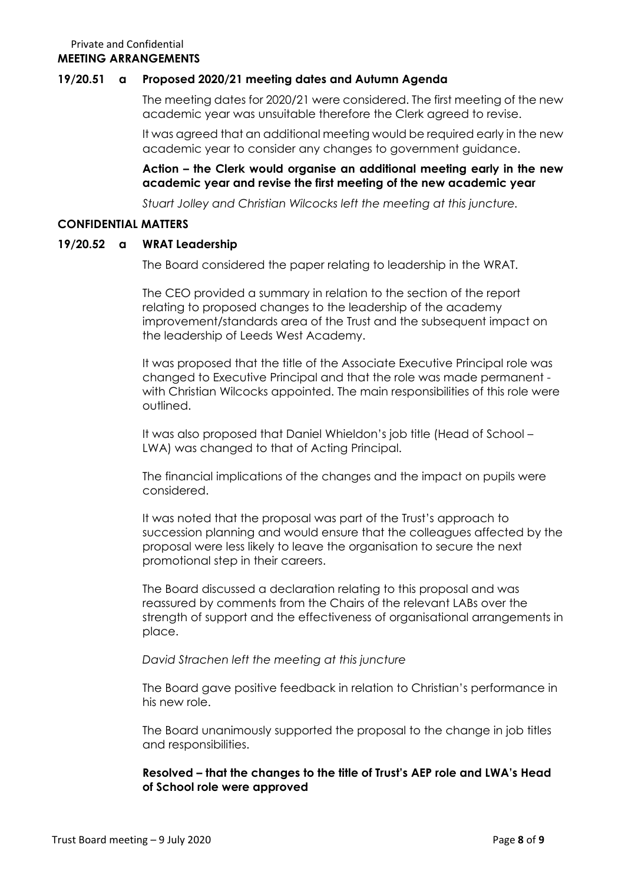## **19/20.51 a Proposed 2020/21 meeting dates and Autumn Agenda**

The meeting dates for 2020/21 were considered. The first meeting of the new academic year was unsuitable therefore the Clerk agreed to revise.

It was agreed that an additional meeting would be required early in the new academic year to consider any changes to government guidance.

# **Action – the Clerk would organise an additional meeting early in the new academic year and revise the first meeting of the new academic year**

*Stuart Jolley and Christian Wilcocks left the meeting at this juncture.*

### **CONFIDENTIAL MATTERS**

### **19/20.52 a WRAT Leadership**

The Board considered the paper relating to leadership in the WRAT.

The CEO provided a summary in relation to the section of the report relating to proposed changes to the leadership of the academy improvement/standards area of the Trust and the subsequent impact on the leadership of Leeds West Academy.

It was proposed that the title of the Associate Executive Principal role was changed to Executive Principal and that the role was made permanent with Christian Wilcocks appointed. The main responsibilities of this role were outlined.

It was also proposed that Daniel Whieldon's job title (Head of School – LWA) was changed to that of Acting Principal.

The financial implications of the changes and the impact on pupils were considered.

It was noted that the proposal was part of the Trust's approach to succession planning and would ensure that the colleagues affected by the proposal were less likely to leave the organisation to secure the next promotional step in their careers.

The Board discussed a declaration relating to this proposal and was reassured by comments from the Chairs of the relevant LABs over the strength of support and the effectiveness of organisational arrangements in place.

## *David Strachen left the meeting at this juncture*

The Board gave positive feedback in relation to Christian's performance in his new role.

The Board unanimously supported the proposal to the change in job titles and responsibilities.

# **Resolved – that the changes to the title of Trust's AEP role and LWA's Head of School role were approved**